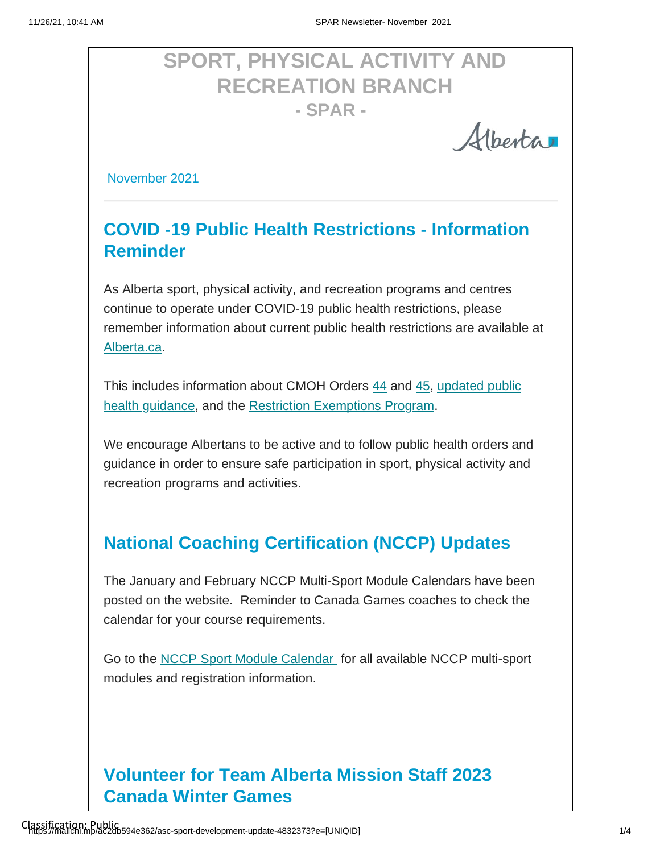# **SPORT, PHYSICAL ACTIVITY AND RECREATION BRANCH - SPAR -**

Albertar

November 2021

# **COVID -19 Public Health Restrictions - Information Reminder**

As Alberta sport, physical activity, and recreation programs and centres continue to operate under COVID-19 public health restrictions, please remember information about current public health restrictions are available at [Alberta.ca.](https://www.alberta.ca/covid-19-public-health-actions.aspx?utm_source=google&utm_medium=sem&utm_campaign=Covid19&utm_term=ongoing&utm_content=restrictions&gclid=Cj0KCQiA-K2MBhC-ARIsAMtLKRs4ZO8sh2lYxG-V3E04axfH8GrvQwxP1nbKz2-KjqY-zuU-Ao-SF74aAl5bEALw_wcB)

[This includes information about CMOH Orders 44](https://open.alberta.ca/publications/general-guidance-for-covid-19-and-other-respiratory-illnesses) [and 45, updated public](https://open.alberta.ca/publications/general-guidance-for-covid-19-and-other-respiratory-illnesses)  [health guidance, and the](https://open.alberta.ca/publications/general-guidance-for-covid-19-and-other-respiratory-illnesses) [Restriction Exemptions Program.](https://open.alberta.ca/publications/covid-19-information-requirements-for-restrictions-exemption-program)

We encourage Albertans to be active and to follow public health orders and guidance in order to ensure safe participation in sport, physical activity and recreation programs and activities.

# **National Coaching Certification (NCCP) Updates**

The January and February NCCP Multi-Sport Module Calendars have been posted on the website. Reminder to Canada Games coaches to check the calendar for your course requirements.

Go to the [NCCP Sport Module Calendar](https://albertasport.ca/nccp-module-calendar/) for all available NCCP multi-sport modules and registration information.

### **Volunteer for Team Alberta Mission Staff 2023 Canada Winter Games**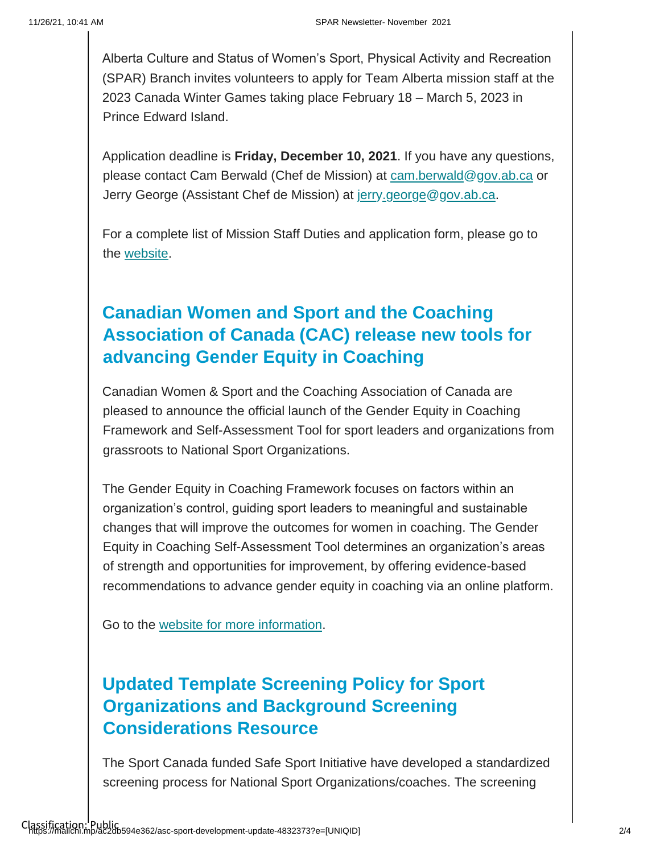Alberta Culture and Status of Women's Sport, Physical Activity and Recreation (SPAR) Branch invites volunteers to apply for Team Alberta mission staff at the 2023 Canada Winter Games taking place February 18 – March 5, 2023 in Prince Edward Island.

Application deadline is **Friday, December 10, 2021**. If you have any questions, please contact Cam Berwald (Chef de Mission) at cam.berwald@gov.ab.ca or Jerry George (Assistant Chef de Mission) at jerry.george@gov.ab.ca.

For a complete list of Mission Staff Duties and application form, please go to the [website.](https://albertasport.ca/team-alberta/canada-winter-games/) 

### **Canadian Women and Sport and the Coaching Association of Canada (CAC) release new tools for advancing Gender Equity in Coaching**

Canadian Women & Sport and the Coaching Association of Canada are pleased to announce the official launch of the Gender Equity in Coaching Framework and Self-Assessment Tool for sport leaders and organizations from grassroots to National Sport Organizations.

The Gender Equity in Coaching Framework focuses on factors within an organization's control, guiding sport leaders to meaningful and sustainable changes that will improve the outcomes for women in coaching. The Gender Equity in Coaching Self-Assessment Tool determines an organization's areas of strength and opportunities for improvement, by offering evidence-based recommendations to advance gender equity in coaching via an online platform.

Go to the [website for more information.](https://sirc.ca/news/canadian-women-sport-and-the-coaching-association-of-canada-release-new-tools-for-advancing-gender-equity-in-coaching-femmes-et-sport-au-canada-et-lassociation-canadienne-des-entraineu/)

#### **Updated Template Screening Policy for Sport Organizations and Background Screening Considerations Resource**

The Sport Canada funded Safe Sport Initiative have developed a standardized screening process for National Sport Organizations/coaches. The screening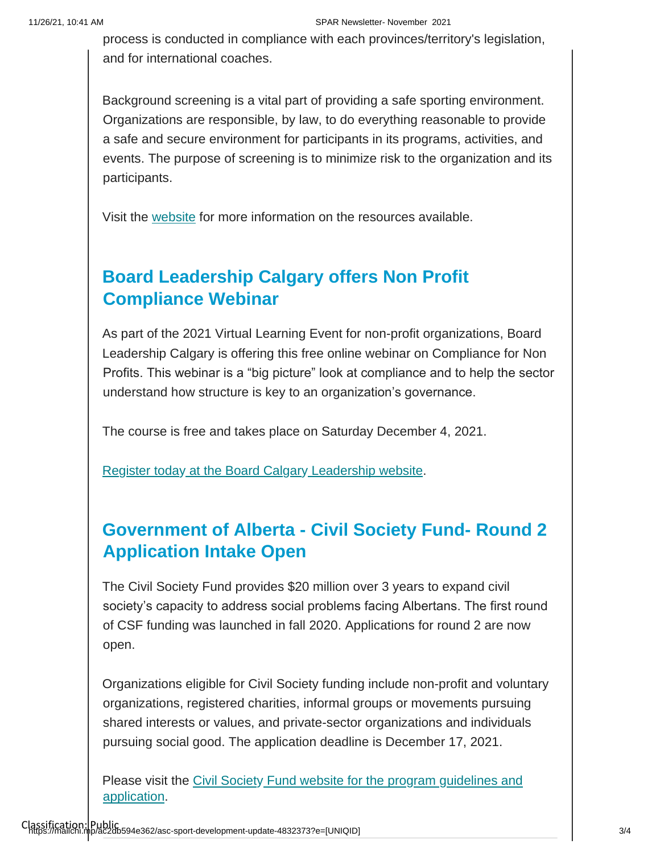process is conducted in compliance with each provinces/territory's legislation, and for international coaches.

Background screening is a vital part of providing a safe sporting environment. Organizations are responsible, by law, to do everything reasonable to provide a safe and secure environment for participants in its programs, activities, and events. The purpose of screening is to minimize risk to the organization and its participants.

Visit the [website](https://can01.safelinks.protection.outlook.com/?url=https%3A%2F%2Fcoach.ca%2Fsport-safety-sport-organizations&data=04%7C01%7Csheri.wilson%40gov.ab.ca%7C52411c2fa9674d4d1c2408d99d5d5e77%7C2bb51c06af9b42c58bf53c3b7b10850b%7C0%7C0%7C637713847669780476%7CUnknown%7CTWFpbGZsb3d8eyJWIjoiMC4wLjAwMDAiLCJQIjoiV2luMzIiLCJBTiI6Ik1haWwiLCJXVCI6Mn0%3D%7C1000&sdata=nxQfrN3vy8JuGmn5qlcjT4q53bzc6Dhi6EdQxC89hhg%3D&reserved=0) for more information on the resources available.

#### **Board Leadership Calgary offers Non Profit Compliance Webinar**

As part of the 2021 Virtual Learning Event for non-profit organizations, Board Leadership Calgary is offering this free online webinar on Compliance for Non Profits. This webinar is a "big picture" look at compliance and to help the sector understand how structure is key to an organization's governance.

The course is free and takes place on Saturday December 4, 2021.

[Register today](https://boardleadershipcalgary.ca/) [at the Board Calgary](https://boardleadershipcalgary.ca/) [Leadership website.](https://boardleadershipcalgary.ca/)

#### **Government of Alberta - Civil Society Fund- Round 2 Application Intake Open**

The Civil Society Fund provides \$20 million over 3 years to expand civil society's capacity to address social problems facing Albertans. The first round of CSF funding was launched in fall 2020. Applications for round 2 are now open.

Organizations eligible for Civil Society funding include non-profit and voluntary organizations, registered charities, informal groups or movements pursuing shared interests or values, and private-sector organizations and individuals pursuing social good. The application deadline is December 17, 2021.

[Please visit the Civil Society](https://www.alberta.ca/civil-society-fund.aspx) Fund website for the program guidelines and [application.](https://www.alberta.ca/civil-society-fund.aspx)